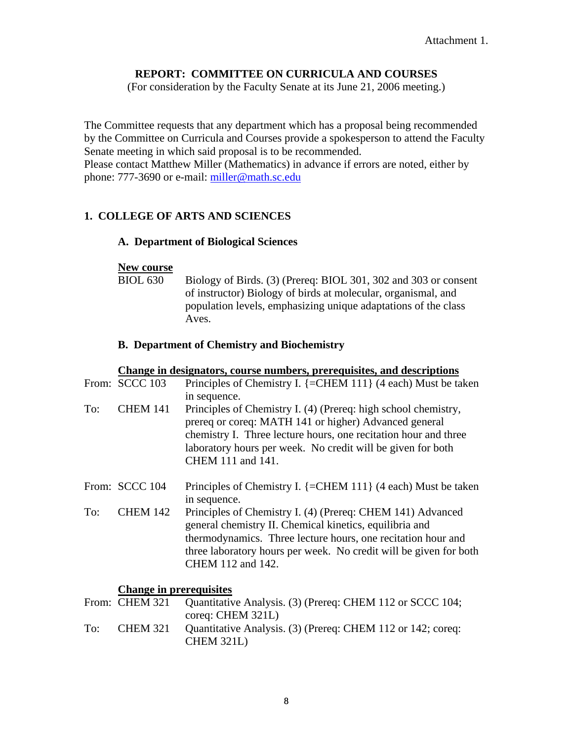# **REPORT: COMMITTEE ON CURRICULA AND COURSES**

(For consideration by the Faculty Senate at its June 21, 2006 meeting.)

The Committee requests that any department which has a proposal being recommended by the Committee on Curricula and Courses provide a spokesperson to attend the Faculty Senate meeting in which said proposal is to be recommended. Please contact Matthew Miller (Mathematics) in advance if errors are noted, either by phone: 777-3690 or e-mail: [miller@math.sc.edu](mailto:miller@math.sc.edu)

# **1. COLLEGE OF ARTS AND SCIENCES**

## **A. Department of Biological Sciences**

#### **New course**

BIOL 630 Biology of Birds. (3) (Prereq: BIOL 301, 302 and 303 or consent of instructor) Biology of birds at molecular, organismal, and population levels, emphasizing unique adaptations of the class Aves.

#### **B. Department of Chemistry and Biochemistry**

#### **Change in designators, course numbers, prerequisites, and descriptions**

|     | From: SCCC 103  | Principles of Chemistry I. $\left\{=\right[CHEM 111\right\}$ (4 each) Must be taken<br>in sequence.                                                                                                                                                                             |
|-----|-----------------|---------------------------------------------------------------------------------------------------------------------------------------------------------------------------------------------------------------------------------------------------------------------------------|
| To: | <b>CHEM 141</b> | Principles of Chemistry I. (4) (Prereq: high school chemistry,<br>prereq or coreq: MATH 141 or higher) Advanced general<br>chemistry I. Three lecture hours, one recitation hour and three<br>laboratory hours per week. No credit will be given for both<br>CHEM 111 and 141.  |
|     | From: SCCC 104  | Principles of Chemistry I. $\{=\text{CHEM }111\}$ (4 each) Must be taken<br>in sequence.                                                                                                                                                                                        |
| To: | <b>CHEM 142</b> | Principles of Chemistry I. (4) (Prereq: CHEM 141) Advanced<br>general chemistry II. Chemical kinetics, equilibria and<br>thermodynamics. Three lecture hours, one recitation hour and<br>three laboratory hours per week. No credit will be given for both<br>CHEM 112 and 142. |

#### **Change in prerequisites**

|     | From: CHEM 321 | Quantitative Analysis. (3) (Prereq: CHEM 112 or SCCC 104;   |
|-----|----------------|-------------------------------------------------------------|
|     |                | $coreq$ : CHEM 321L)                                        |
| To: | CHEM 321       | Quantitative Analysis. (3) (Prereq: CHEM 112 or 142; coreq: |
|     |                | <b>CHEM 321L)</b>                                           |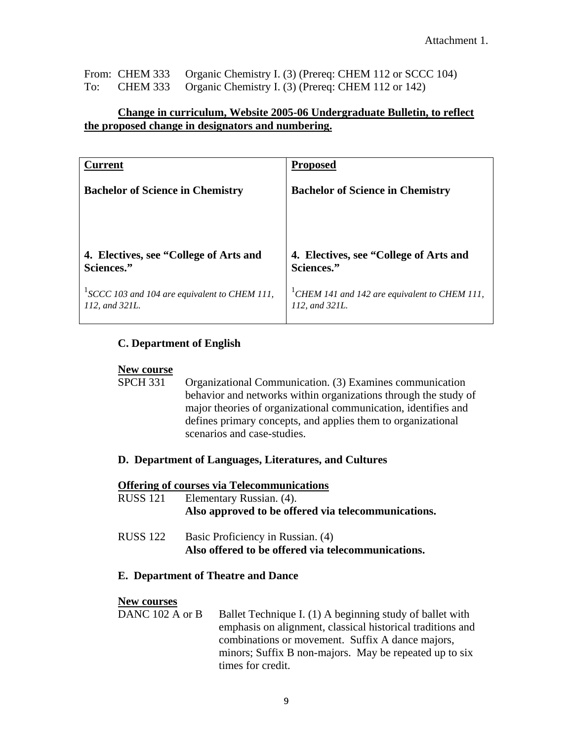|     | From: CHEM 333 Organic Chemistry I. (3) (Prereq: CHEM 112 or SCCC 104) |
|-----|------------------------------------------------------------------------|
| To: | CHEM 333 Organic Chemistry I. (3) (Prereq: CHEM 112 or 142)            |

## **Change in curriculum, Website 2005-06 Undergraduate Bulletin, to reflect the proposed change in designators and numbering.**

| Current                                                        | <b>Proposed</b>                                                             |
|----------------------------------------------------------------|-----------------------------------------------------------------------------|
| <b>Bachelor of Science in Chemistry</b>                        | <b>Bachelor of Science in Chemistry</b>                                     |
| 4. Electives, see "College of Arts and<br>Sciences."           | 4. Electives, see "College of Arts and<br>Sciences."                        |
| SCCC 103 and 104 are equivalent to CHEM 111,<br>112, and 321L. | <sup>1</sup> CHEM 141 and 142 are equivalent to CHEM 111,<br>112. and 321L. |

## **C. Department of English**

#### **New course**

- SPCH 331 Organizational Communication. (3) Examines communication behavior and networks within organizations through the study of major theories of organizational communication, identifies and defines primary concepts, and applies them to organizational scenarios and case-studies.
- **D. Department of Languages, Literatures, and Cultures**

#### **Offering of courses via Telecommunications**

- RUSS 121 Elementary Russian. (4). **Also approved to be offered via telecommunications.**
- RUSS 122 Basic Proficiency in Russian. (4) **Also offered to be offered via telecommunications.**

#### **E. Department of Theatre and Dance**

#### **New courses**

DANC 102 A or B Ballet Technique I. (1) A beginning study of ballet with emphasis on alignment, classical historical traditions and combinations or movement. Suffix A dance majors, minors; Suffix B non-majors. May be repeated up to six times for credit.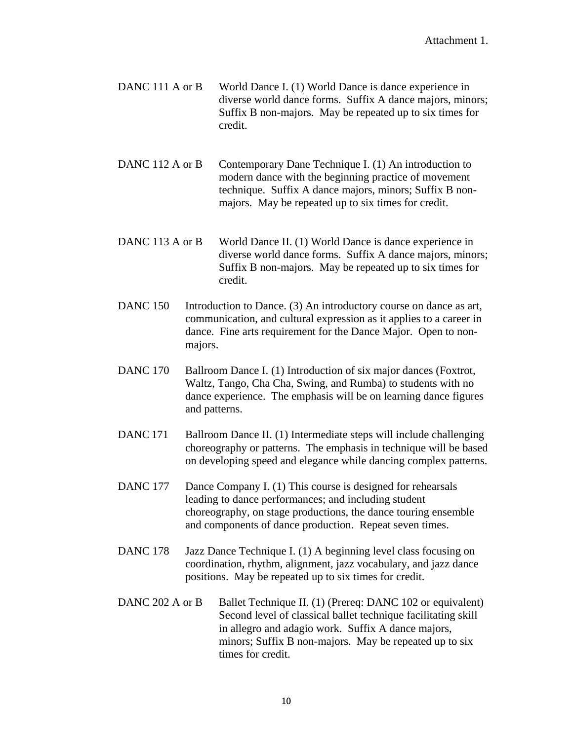DANC 111 A or B World Dance I. (1) World Dance is dance experience in diverse world dance forms. Suffix A dance majors, minors; Suffix B non-majors. May be repeated up to six times for credit.

DANC 112 A or B Contemporary Dane Technique I. (1) An introduction to modern dance with the beginning practice of movement technique. Suffix A dance majors, minors; Suffix B nonmajors. May be repeated up to six times for credit.

- DANC 113 A or B World Dance II. (1) World Dance is dance experience in diverse world dance forms. Suffix A dance majors, minors; Suffix B non-majors. May be repeated up to six times for credit.
- DANC 150 Introduction to Dance. (3) An introductory course on dance as art, communication, and cultural expression as it applies to a career in dance. Fine arts requirement for the Dance Major. Open to nonmajors.
- DANC 170 Ballroom Dance I. (1) Introduction of six major dances (Foxtrot, Waltz, Tango, Cha Cha, Swing, and Rumba) to students with no dance experience. The emphasis will be on learning dance figures and patterns.
- DANC 171 Ballroom Dance II. (1) Intermediate steps will include challenging choreography or patterns. The emphasis in technique will be based on developing speed and elegance while dancing complex patterns.
- DANC 177 Dance Company I. (1) This course is designed for rehearsals leading to dance performances; and including student choreography, on stage productions, the dance touring ensemble and components of dance production. Repeat seven times.
- DANC 178 Jazz Dance Technique I. (1) A beginning level class focusing on coordination, rhythm, alignment, jazz vocabulary, and jazz dance positions. May be repeated up to six times for credit.
- DANC 202 A or B Ballet Technique II. (1) (Prereq: DANC 102 or equivalent) Second level of classical ballet technique facilitating skill in allegro and adagio work. Suffix A dance majors, minors; Suffix B non-majors. May be repeated up to six times for credit.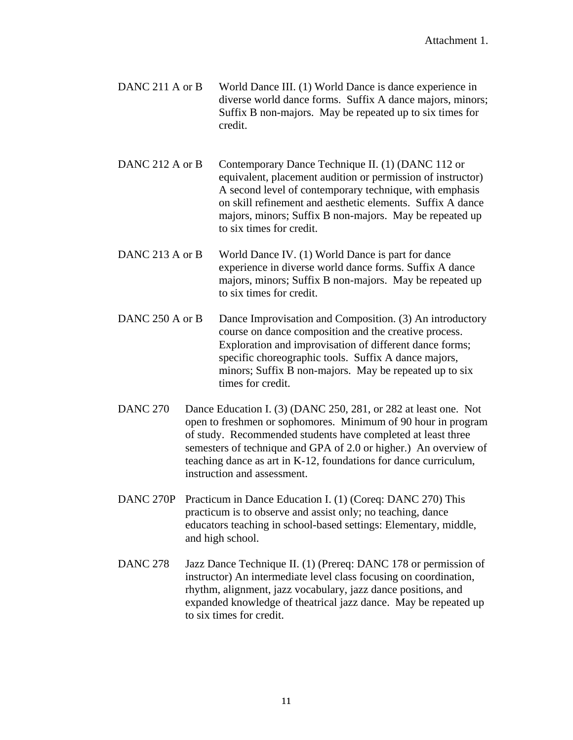- DANC 211 A or B World Dance III. (1) World Dance is dance experience in diverse world dance forms. Suffix A dance majors, minors; Suffix B non-majors. May be repeated up to six times for credit.
- DANC 212 A or B Contemporary Dance Technique II. (1) (DANC 112 or equivalent, placement audition or permission of instructor) A second level of contemporary technique, with emphasis on skill refinement and aesthetic elements. Suffix A dance majors, minors; Suffix B non-majors. May be repeated up to six times for credit.
- DANC 213 A or B World Dance IV. (1) World Dance is part for dance experience in diverse world dance forms. Suffix A dance majors, minors; Suffix B non-majors. May be repeated up to six times for credit.
- DANC 250 A or B Dance Improvisation and Composition. (3) An introductory course on dance composition and the creative process. Exploration and improvisation of different dance forms; specific choreographic tools. Suffix A dance majors, minors; Suffix B non-majors. May be repeated up to six times for credit.
- DANC 270 Dance Education I. (3) (DANC 250, 281, or 282 at least one. Not open to freshmen or sophomores. Minimum of 90 hour in program of study. Recommended students have completed at least three semesters of technique and GPA of 2.0 or higher.) An overview of teaching dance as art in K-12, foundations for dance curriculum, instruction and assessment.
- DANC 270P Practicum in Dance Education I. (1) (Coreq: DANC 270) This practicum is to observe and assist only; no teaching, dance educators teaching in school-based settings: Elementary, middle, and high school.
- DANC 278 Jazz Dance Technique II. (1) (Prereq: DANC 178 or permission of instructor) An intermediate level class focusing on coordination, rhythm, alignment, jazz vocabulary, jazz dance positions, and expanded knowledge of theatrical jazz dance. May be repeated up to six times for credit.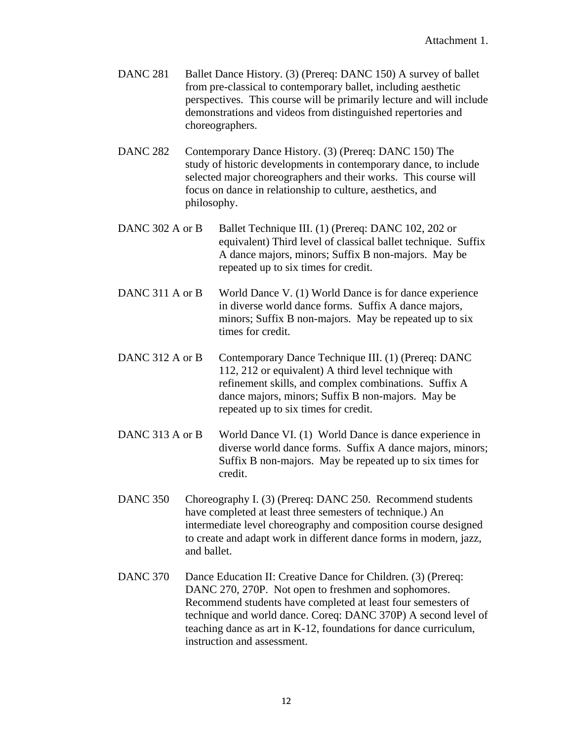- DANC 281 Ballet Dance History. (3) (Prereq: DANC 150) A survey of ballet from pre-classical to contemporary ballet, including aesthetic perspectives. This course will be primarily lecture and will include demonstrations and videos from distinguished repertories and choreographers.
- DANC 282 Contemporary Dance History. (3) (Prereq: DANC 150) The study of historic developments in contemporary dance, to include selected major choreographers and their works. This course will focus on dance in relationship to culture, aesthetics, and philosophy.
- DANC 302 A or B Ballet Technique III. (1) (Prereq: DANC 102, 202 or equivalent) Third level of classical ballet technique. Suffix A dance majors, minors; Suffix B non-majors. May be repeated up to six times for credit.
- DANC 311 A or B World Dance V. (1) World Dance is for dance experience in diverse world dance forms. Suffix A dance majors, minors; Suffix B non-majors. May be repeated up to six times for credit.
- DANC 312 A or B Contemporary Dance Technique III. (1) (Prereq: DANC 112, 212 or equivalent) A third level technique with refinement skills, and complex combinations. Suffix A dance majors, minors; Suffix B non-majors. May be repeated up to six times for credit.
- DANC 313 A or B World Dance VI. (1) World Dance is dance experience in diverse world dance forms. Suffix A dance majors, minors; Suffix B non-majors. May be repeated up to six times for credit.
- DANC 350 Choreography I. (3) (Prereq: DANC 250. Recommend students have completed at least three semesters of technique.) An intermediate level choreography and composition course designed to create and adapt work in different dance forms in modern, jazz, and ballet.
- DANC 370 Dance Education II: Creative Dance for Children. (3) (Prereq: DANC 270, 270P. Not open to freshmen and sophomores. Recommend students have completed at least four semesters of technique and world dance. Coreq: DANC 370P) A second level of teaching dance as art in K-12, foundations for dance curriculum, instruction and assessment.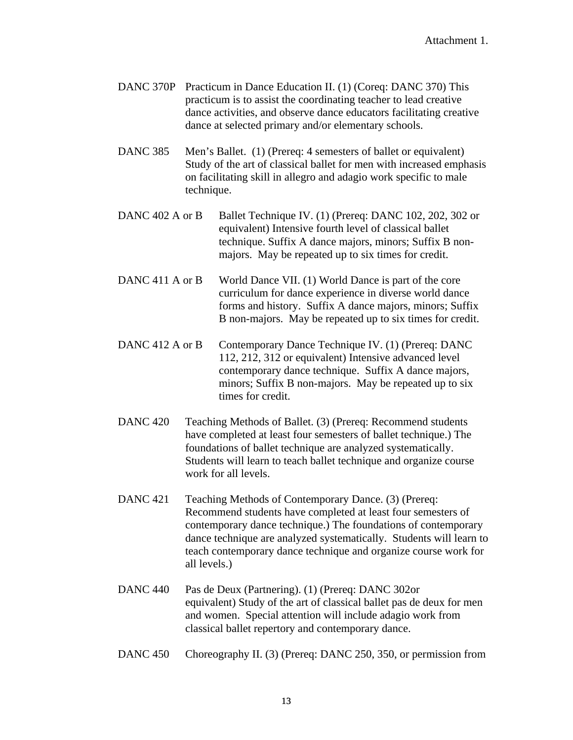- DANC 370P Practicum in Dance Education II. (1) (Coreq: DANC 370) This practicum is to assist the coordinating teacher to lead creative dance activities, and observe dance educators facilitating creative dance at selected primary and/or elementary schools.
- DANC 385 Men's Ballet. (1) (Prereq: 4 semesters of ballet or equivalent) Study of the art of classical ballet for men with increased emphasis on facilitating skill in allegro and adagio work specific to male technique.
- DANC 402 A or B Ballet Technique IV. (1) (Prereq: DANC 102, 202, 302 or equivalent) Intensive fourth level of classical ballet technique. Suffix A dance majors, minors; Suffix B nonmajors. May be repeated up to six times for credit.
- DANC 411 A or B World Dance VII. (1) World Dance is part of the core curriculum for dance experience in diverse world dance forms and history. Suffix A dance majors, minors; Suffix B non-majors. May be repeated up to six times for credit.
- DANC 412 A or B Contemporary Dance Technique IV. (1) (Prereq: DANC 112, 212, 312 or equivalent) Intensive advanced level contemporary dance technique. Suffix A dance majors, minors; Suffix B non-majors. May be repeated up to six times for credit.
- DANC 420 Teaching Methods of Ballet. (3) (Prereq: Recommend students have completed at least four semesters of ballet technique.) The foundations of ballet technique are analyzed systematically. Students will learn to teach ballet technique and organize course work for all levels.
- DANC 421 Teaching Methods of Contemporary Dance. (3) (Prereq: Recommend students have completed at least four semesters of contemporary dance technique.) The foundations of contemporary dance technique are analyzed systematically. Students will learn to teach contemporary dance technique and organize course work for all levels.)
- DANC 440 Pas de Deux (Partnering). (1) (Prereq: DANC 302or equivalent) Study of the art of classical ballet pas de deux for men and women. Special attention will include adagio work from classical ballet repertory and contemporary dance.
- DANC 450 Choreography II. (3) (Prereq: DANC 250, 350, or permission from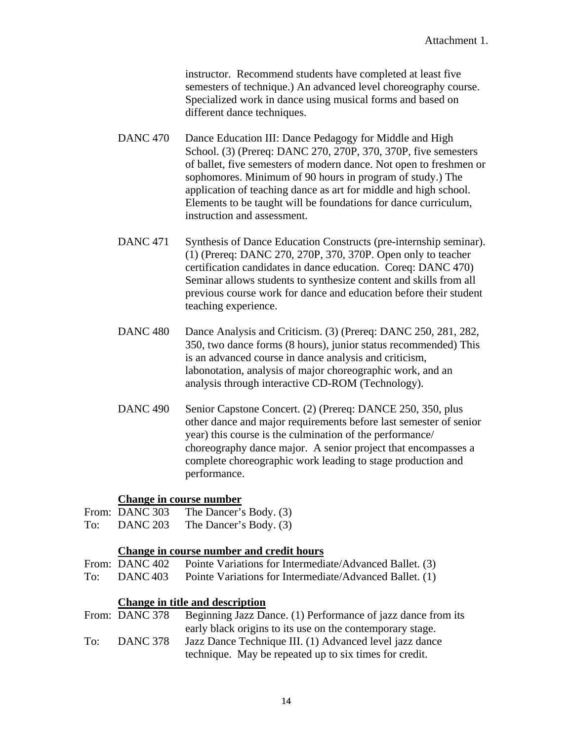instructor. Recommend students have completed at least five semesters of technique.) An advanced level choreography course. Specialized work in dance using musical forms and based on different dance techniques.

- DANC 470 Dance Education III: Dance Pedagogy for Middle and High School. (3) (Prereq: DANC 270, 270P, 370, 370P, five semesters of ballet, five semesters of modern dance. Not open to freshmen or sophomores. Minimum of 90 hours in program of study.) The application of teaching dance as art for middle and high school. Elements to be taught will be foundations for dance curriculum, instruction and assessment.
- DANC 471 Synthesis of Dance Education Constructs (pre-internship seminar). (1) (Prereq: DANC 270, 270P, 370, 370P. Open only to teacher certification candidates in dance education. Coreq: DANC 470) Seminar allows students to synthesize content and skills from all previous course work for dance and education before their student teaching experience.
- DANC 480 Dance Analysis and Criticism. (3) (Prereq: DANC 250, 281, 282, 350, two dance forms (8 hours), junior status recommended) This is an advanced course in dance analysis and criticism, labonotation, analysis of major choreographic work, and an analysis through interactive CD-ROM (Technology).
- DANC 490 Senior Capstone Concert. (2) (Prereq: DANCE 250, 350, plus other dance and major requirements before last semester of senior year) this course is the culmination of the performance/ choreography dance major. A senior project that encompasses a complete choreographic work leading to stage production and performance.

#### **Change in course number**

- From: DANC 303 The Dancer's Body. (3)
- To: DANC 203 The Dancer's Body. (3)

## **Change in course number and credit hours**

- From: DANC 402 Pointe Variations for Intermediate/Advanced Ballet. (3)
- To: DANC 403 Pointe Variations for Intermediate/Advanced Ballet. (1)

#### **Change in title and description**

|     | From: DANC 378  | Beginning Jazz Dance. (1) Performance of jazz dance from its |
|-----|-----------------|--------------------------------------------------------------|
|     |                 | early black origins to its use on the contemporary stage.    |
| To: | <b>DANC 378</b> | Jazz Dance Technique III. (1) Advanced level jazz dance      |
|     |                 | technique. May be repeated up to six times for credit.       |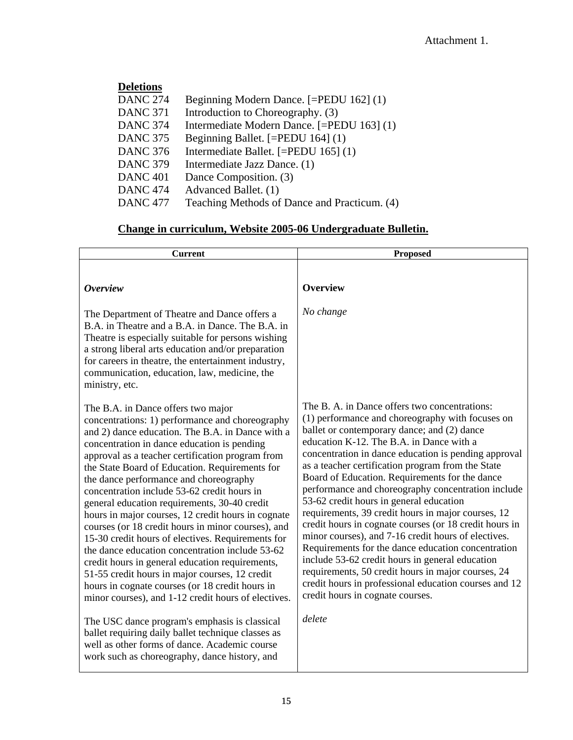| <b>Deletions</b> |                                              |
|------------------|----------------------------------------------|
| <b>DANC 274</b>  | Beginning Modern Dance. [=PEDU 162] (1)      |
| <b>DANC 371</b>  | Introduction to Choreography. (3)            |
| <b>DANC 374</b>  | Intermediate Modern Dance. [=PEDU 163] (1)   |
| <b>DANC 375</b>  | Beginning Ballet. [=PEDU 164] (1)            |
| <b>DANC 376</b>  | Intermediate Ballet. [=PEDU 165] (1)         |
| <b>DANC 379</b>  | Intermediate Jazz Dance. (1)                 |
| <b>DANC 401</b>  | Dance Composition. (3)                       |
| <b>DANC 474</b>  | Advanced Ballet. (1)                         |
| <b>DANC 477</b>  | Teaching Methods of Dance and Practicum. (4) |

# **Change in curriculum, Website 2005-06 Undergraduate Bulletin.**

| <b>Current</b>                                                                                                                                                                                                                                                                                                                                                                                                                                                                                                                                                                                                                                                                                                                                                                                                                                                                                                                                                                                                                                                                      | Proposed                                                                                                                                                                                                                                                                                                                                                                                                                                                                                                                                                                                                                                                                                                                                                                                                                                                                                                  |
|-------------------------------------------------------------------------------------------------------------------------------------------------------------------------------------------------------------------------------------------------------------------------------------------------------------------------------------------------------------------------------------------------------------------------------------------------------------------------------------------------------------------------------------------------------------------------------------------------------------------------------------------------------------------------------------------------------------------------------------------------------------------------------------------------------------------------------------------------------------------------------------------------------------------------------------------------------------------------------------------------------------------------------------------------------------------------------------|-----------------------------------------------------------------------------------------------------------------------------------------------------------------------------------------------------------------------------------------------------------------------------------------------------------------------------------------------------------------------------------------------------------------------------------------------------------------------------------------------------------------------------------------------------------------------------------------------------------------------------------------------------------------------------------------------------------------------------------------------------------------------------------------------------------------------------------------------------------------------------------------------------------|
| <i><b>Overview</b></i>                                                                                                                                                                                                                                                                                                                                                                                                                                                                                                                                                                                                                                                                                                                                                                                                                                                                                                                                                                                                                                                              | <b>Overview</b>                                                                                                                                                                                                                                                                                                                                                                                                                                                                                                                                                                                                                                                                                                                                                                                                                                                                                           |
| The Department of Theatre and Dance offers a<br>B.A. in Theatre and a B.A. in Dance. The B.A. in<br>Theatre is especially suitable for persons wishing<br>a strong liberal arts education and/or preparation<br>for careers in theatre, the entertainment industry,<br>communication, education, law, medicine, the<br>ministry, etc.                                                                                                                                                                                                                                                                                                                                                                                                                                                                                                                                                                                                                                                                                                                                               | No change                                                                                                                                                                                                                                                                                                                                                                                                                                                                                                                                                                                                                                                                                                                                                                                                                                                                                                 |
| The B.A. in Dance offers two major<br>concentrations: 1) performance and choreography<br>and 2) dance education. The B.A. in Dance with a<br>concentration in dance education is pending<br>approval as a teacher certification program from<br>the State Board of Education. Requirements for<br>the dance performance and choreography<br>concentration include 53-62 credit hours in<br>general education requirements, 30-40 credit<br>hours in major courses, 12 credit hours in cognate<br>courses (or 18 credit hours in minor courses), and<br>15-30 credit hours of electives. Requirements for<br>the dance education concentration include 53-62<br>credit hours in general education requirements,<br>51-55 credit hours in major courses, 12 credit<br>hours in cognate courses (or 18 credit hours in<br>minor courses), and 1-12 credit hours of electives.<br>The USC dance program's emphasis is classical<br>ballet requiring daily ballet technique classes as<br>well as other forms of dance. Academic course<br>work such as choreography, dance history, and | The B. A. in Dance offers two concentrations:<br>(1) performance and choreography with focuses on<br>ballet or contemporary dance; and (2) dance<br>education K-12. The B.A. in Dance with a<br>concentration in dance education is pending approval<br>as a teacher certification program from the State<br>Board of Education. Requirements for the dance<br>performance and choreography concentration include<br>53-62 credit hours in general education<br>requirements, 39 credit hours in major courses, 12<br>credit hours in cognate courses (or 18 credit hours in<br>minor courses), and 7-16 credit hours of electives.<br>Requirements for the dance education concentration<br>include 53-62 credit hours in general education<br>requirements, 50 credit hours in major courses, 24<br>credit hours in professional education courses and 12<br>credit hours in cognate courses.<br>delete |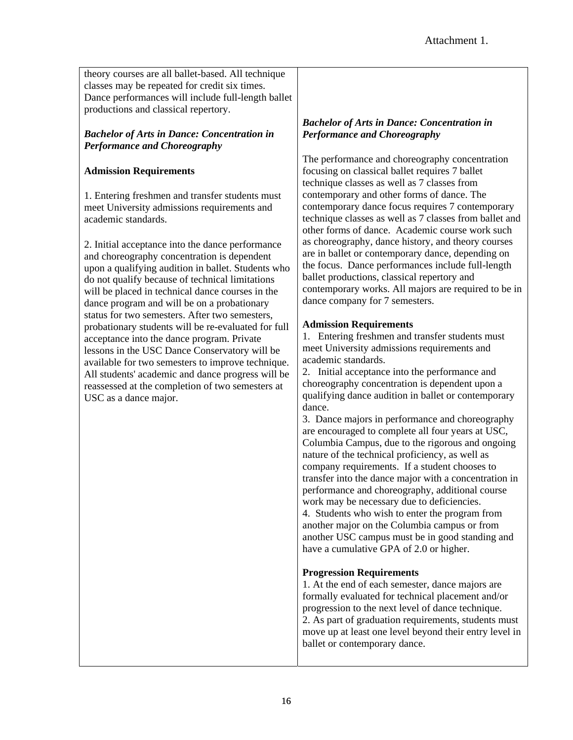theory courses are all ballet-based. All technique classes may be repeated for credit six times. Dance performances will include full-length ballet productions and classical repertory.

## *Bachelor of Arts in Dance: Concentration in Performance and Choreography*

## **Admission Requirements**

1. Entering freshmen and transfer students must meet University admissions requirements and academic standards.

2. Initial acceptance into the dance performance and choreography concentration is dependent upon a qualifying audition in ballet. Students who do not qualify because of technical limitations will be placed in technical dance courses in the dance program and will be on a probationary status for two semesters. After two semesters, probationary students will be re-evaluated for full acceptance into the dance program. Private lessons in the USC Dance Conservatory will be available for two semesters to improve technique. All students' academic and dance progress will be reassessed at the completion of two semesters at USC as a dance major.

### *Bachelor of Arts in Dance: Concentration in Performance and Choreography*

The performance and choreography concentration focusing on classical ballet requires 7 ballet technique classes as well as 7 classes from contemporary and other forms of dance. The contemporary dance focus requires 7 contemporary technique classes as well as 7 classes from ballet and other forms of dance. Academic course work such as choreography, dance history, and theory courses are in ballet or contemporary dance, depending on the focus. Dance performances include full-length ballet productions, classical repertory and contemporary works. All majors are required to be in dance company for 7 semesters.

## **Admission Requirements**

1. Entering freshmen and transfer students must meet University admissions requirements and academic standards.

2. Initial acceptance into the performance and choreography concentration is dependent upon a qualifying dance audition in ballet or contemporary dance.

3. Dance majors in performance and choreography are encouraged to complete all four years at USC, Columbia Campus, due to the rigorous and ongoing nature of the technical proficiency, as well as company requirements. If a student chooses to transfer into the dance major with a concentration in performance and choreography, additional course work may be necessary due to deficiencies. 4. Students who wish to enter the program from another major on the Columbia campus or from

another USC campus must be in good standing and have a cumulative GPA of 2.0 or higher.

## **Progression Requirements**

1. At the end of each semester, dance majors are formally evaluated for technical placement and/or progression to the next level of dance technique. 2. As part of graduation requirements, students must move up at least one level beyond their entry level in ballet or contemporary dance.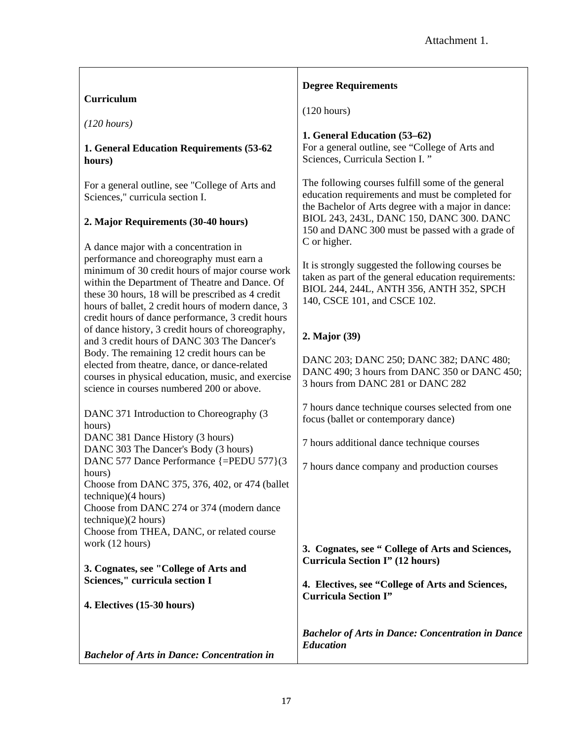# **Curriculum**

*(120 hours)* 

#### **1. General Education Requirements (53-62 hours)**

For a general outline, see "College of Arts and Sciences," curricula section I.

#### **2. Major Requirements (30-40 hours)**

A dance major with a concentration in performance and choreography must earn a minimum of 30 credit hours of major course work within the Department of Theatre and Dance. Of these 30 hours, 18 will be prescribed as 4 credit hours of ballet, 2 credit hours of modern dance, 3 credit hours of dance performance, 3 credit hours of dance history, 3 credit hours of choreography, and 3 credit hours of DANC 303 The Dancer's Body. The remaining 12 credit hours can be elected from theatre, dance, or dance-related courses in physical education, music, and exercise science in courses numbered 200 or above.

#### DANC 371 Introduction to Choreography (3 hours) DANC 381 Dance History (3 hours) DANC 303 The Dancer's Body (3 hours) DANC 577 Dance Performance {=PEDU 577}(3 hours) Choose from DANC 375, 376, 402, or 474 (ballet technique)(4 hours) Choose from DANC 274 or 374 (modern dance technique)(2 hours) Choose from THEA, DANC, or related course work (12 hours) **3. Cognates, see "College of Arts and Sciences," curricula section I 4. Electives (15-30 hours)** *Bachelor of Arts in Dance: Concentration in*  focus (ballet or contemporary dance) 7 hours additional dance technique courses 7 hours dance company and production courses **3. Cognates, see " College of Arts and Sciences, Curricula Section I" (12 hours) 4. Electives, see "College of Arts and Sciences, Curricula Section I"**  *Education*

#### **Degree Requirements**

(120 hours)

## **1. General Education (53–62)**

For a general outline, see "College of Arts and Sciences, Curricula Section I. "

The following courses fulfill some of the general education requirements and must be completed for the Bachelor of Arts degree with a major in dance: BIOL 243, 243L, DANC 150, DANC 300. DANC 150 and DANC 300 must be passed with a grade of C or higher.

It is strongly suggested the following courses be taken as part of the general education requirements: BIOL 244, 244L, ANTH 356, ANTH 352, SPCH 140, CSCE 101, and CSCE 102.

## **2. Major (39)**

DANC 203; DANC 250; DANC 382; DANC 480; DANC 490: 3 hours from DANC 350 or DANC 450: 3 hours from DANC 281 or DANC 282

7 hours dance technique courses selected from one

*Bachelor of Arts in Dance: Concentration in Dance*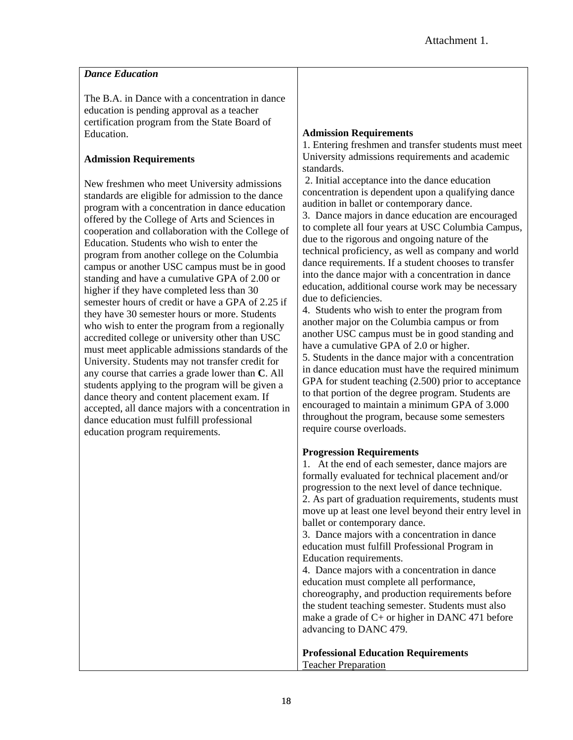| <b>Dance Education</b>                                                                                                                                                                                                                                                                                                                                                                                                                                                                                                                                                                                                                                                                                                                                                                                                                                                                                                                                                                                                                                                                                                                                                                                                                                                                 |                                                                                                                                                                                                                                                                                                                                                                                                                                                                                                                                                                                                                                                                                                                                                                                                                                                                                                                                                                                                                                                                                                                                                                                                                                                            |
|----------------------------------------------------------------------------------------------------------------------------------------------------------------------------------------------------------------------------------------------------------------------------------------------------------------------------------------------------------------------------------------------------------------------------------------------------------------------------------------------------------------------------------------------------------------------------------------------------------------------------------------------------------------------------------------------------------------------------------------------------------------------------------------------------------------------------------------------------------------------------------------------------------------------------------------------------------------------------------------------------------------------------------------------------------------------------------------------------------------------------------------------------------------------------------------------------------------------------------------------------------------------------------------|------------------------------------------------------------------------------------------------------------------------------------------------------------------------------------------------------------------------------------------------------------------------------------------------------------------------------------------------------------------------------------------------------------------------------------------------------------------------------------------------------------------------------------------------------------------------------------------------------------------------------------------------------------------------------------------------------------------------------------------------------------------------------------------------------------------------------------------------------------------------------------------------------------------------------------------------------------------------------------------------------------------------------------------------------------------------------------------------------------------------------------------------------------------------------------------------------------------------------------------------------------|
| The B.A. in Dance with a concentration in dance<br>education is pending approval as a teacher<br>certification program from the State Board of<br>Education.<br><b>Admission Requirements</b><br>New freshmen who meet University admissions<br>standards are eligible for admission to the dance<br>program with a concentration in dance education<br>offered by the College of Arts and Sciences in<br>cooperation and collaboration with the College of<br>Education. Students who wish to enter the<br>program from another college on the Columbia<br>campus or another USC campus must be in good<br>standing and have a cumulative GPA of 2.00 or<br>higher if they have completed less than 30<br>semester hours of credit or have a GPA of 2.25 if<br>they have 30 semester hours or more. Students<br>who wish to enter the program from a regionally<br>accredited college or university other than USC<br>must meet applicable admissions standards of the<br>University. Students may not transfer credit for<br>any course that carries a grade lower than C. All<br>students applying to the program will be given a<br>dance theory and content placement exam. If<br>accepted, all dance majors with a concentration in<br>dance education must fulfill professional | <b>Admission Requirements</b><br>1. Entering freshmen and transfer students must meet<br>University admissions requirements and academic<br>standards.<br>2. Initial acceptance into the dance education<br>concentration is dependent upon a qualifying dance<br>audition in ballet or contemporary dance.<br>3. Dance majors in dance education are encouraged<br>to complete all four years at USC Columbia Campus,<br>due to the rigorous and ongoing nature of the<br>technical proficiency, as well as company and world<br>dance requirements. If a student chooses to transfer<br>into the dance major with a concentration in dance<br>education, additional course work may be necessary<br>due to deficiencies.<br>4. Students who wish to enter the program from<br>another major on the Columbia campus or from<br>another USC campus must be in good standing and<br>have a cumulative GPA of 2.0 or higher.<br>5. Students in the dance major with a concentration<br>in dance education must have the required minimum<br>GPA for student teaching $(2.500)$ prior to acceptance<br>to that portion of the degree program. Students are<br>encouraged to maintain a minimum GPA of 3.000<br>throughout the program, because some semesters |
| education program requirements.                                                                                                                                                                                                                                                                                                                                                                                                                                                                                                                                                                                                                                                                                                                                                                                                                                                                                                                                                                                                                                                                                                                                                                                                                                                        | require course overloads.<br><b>Progression Requirements</b><br>1. At the end of each semester, dance majors are<br>formally evaluated for technical placement and/or<br>progression to the next level of dance technique.<br>2. As part of graduation requirements, students must<br>move up at least one level beyond their entry level in<br>ballet or contemporary dance.<br>3. Dance majors with a concentration in dance<br>education must fulfill Professional Program in<br>Education requirements.<br>4. Dance majors with a concentration in dance<br>education must complete all performance,<br>choreography, and production requirements before<br>the student teaching semester. Students must also<br>make a grade of $C+$ or higher in DANC 471 before<br>advancing to DANC 479.                                                                                                                                                                                                                                                                                                                                                                                                                                                           |

**Professional Education Requirements** Teacher Preparation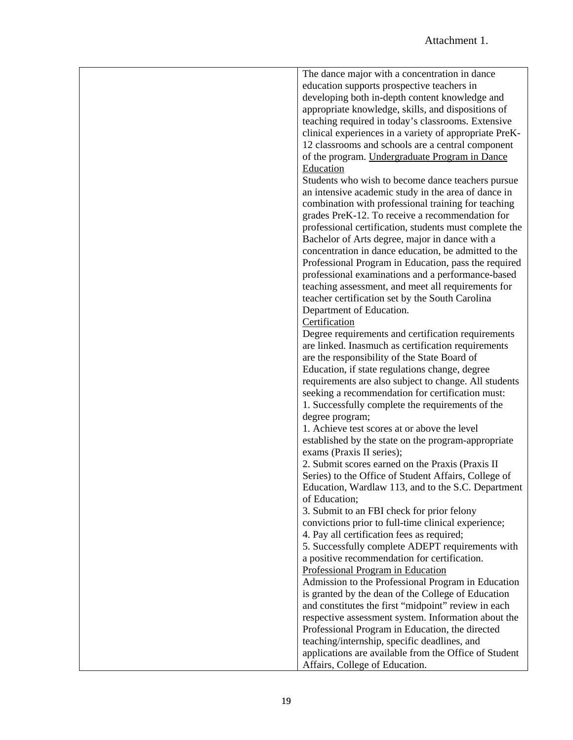| The dance major with a concentration in dance          |
|--------------------------------------------------------|
| education supports prospective teachers in             |
| developing both in-depth content knowledge and         |
| appropriate knowledge, skills, and dispositions of     |
| teaching required in today's classrooms. Extensive     |
| clinical experiences in a variety of appropriate PreK- |
| 12 classrooms and schools are a central component      |
| of the program. Undergraduate Program in Dance         |
| Education                                              |
| Students who wish to become dance teachers pursue      |
| an intensive academic study in the area of dance in    |
|                                                        |
| combination with professional training for teaching    |
| grades PreK-12. To receive a recommendation for        |
| professional certification, students must complete the |
| Bachelor of Arts degree, major in dance with a         |
| concentration in dance education, be admitted to the   |
| Professional Program in Education, pass the required   |
| professional examinations and a performance-based      |
| teaching assessment, and meet all requirements for     |
| teacher certification set by the South Carolina        |
| Department of Education.                               |
| Certification                                          |
| Degree requirements and certification requirements     |
| are linked. Inasmuch as certification requirements     |
| are the responsibility of the State Board of           |
| Education, if state regulations change, degree         |
| requirements are also subject to change. All students  |
| seeking a recommendation for certification must:       |
| 1. Successfully complete the requirements of the       |
| degree program;                                        |
| 1. Achieve test scores at or above the level           |
| established by the state on the program-appropriate    |
| exams (Praxis II series);                              |
| 2. Submit scores earned on the Praxis (Praxis II       |
| Series) to the Office of Student Affairs, College of   |
| Education, Wardlaw 113, and to the S.C. Department     |
| of Education;                                          |
| 3. Submit to an FBI check for prior felony             |
| convictions prior to full-time clinical experience;    |
| 4. Pay all certification fees as required;             |
| 5. Successfully complete ADEPT requirements with       |
| a positive recommendation for certification.           |
| Professional Program in Education                      |
| Admission to the Professional Program in Education     |
| is granted by the dean of the College of Education     |
| and constitutes the first "midpoint" review in each    |
| respective assessment system. Information about the    |
| Professional Program in Education, the directed        |
| teaching/internship, specific deadlines, and           |
| applications are available from the Office of Student  |
| Affairs, College of Education.                         |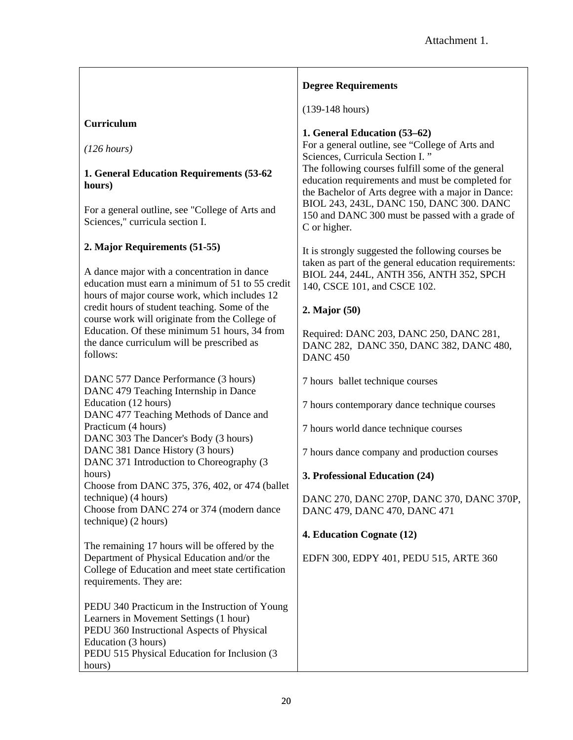|                                                                                                                                                                                                                         | <b>Degree Requirements</b>                                                                                                                                  |
|-------------------------------------------------------------------------------------------------------------------------------------------------------------------------------------------------------------------------|-------------------------------------------------------------------------------------------------------------------------------------------------------------|
|                                                                                                                                                                                                                         | $(139-148 \text{ hours})$                                                                                                                                   |
| Curriculum                                                                                                                                                                                                              | 1. General Education (53–62)                                                                                                                                |
| (126 hours)                                                                                                                                                                                                             | For a general outline, see "College of Arts and<br>Sciences, Curricula Section I."                                                                          |
| 1. General Education Requirements (53-62<br>hours)                                                                                                                                                                      | The following courses fulfill some of the general<br>education requirements and must be completed for<br>the Bachelor of Arts degree with a major in Dance: |
| For a general outline, see "College of Arts and<br>Sciences," curricula section I.                                                                                                                                      | BIOL 243, 243L, DANC 150, DANC 300. DANC<br>150 and DANC 300 must be passed with a grade of<br>C or higher.                                                 |
| 2. Major Requirements (51-55)                                                                                                                                                                                           | It is strongly suggested the following courses be                                                                                                           |
| A dance major with a concentration in dance<br>education must earn a minimum of 51 to 55 credit<br>hours of major course work, which includes 12                                                                        | taken as part of the general education requirements:<br>BIOL 244, 244L, ANTH 356, ANTH 352, SPCH<br>140, CSCE 101, and CSCE 102.                            |
| credit hours of student teaching. Some of the<br>course work will originate from the College of                                                                                                                         | 2. Major (50)                                                                                                                                               |
| Education. Of these minimum 51 hours, 34 from<br>the dance curriculum will be prescribed as<br>follows:                                                                                                                 | Required: DANC 203, DANC 250, DANC 281,<br>DANC 282, DANC 350, DANC 382, DANC 480,<br><b>DANC 450</b>                                                       |
| DANC 577 Dance Performance (3 hours)<br>DANC 479 Teaching Internship in Dance                                                                                                                                           | 7 hours ballet technique courses                                                                                                                            |
| Education (12 hours)<br>DANC 477 Teaching Methods of Dance and                                                                                                                                                          | 7 hours contemporary dance technique courses                                                                                                                |
| Practicum (4 hours)<br>DANC 303 The Dancer's Body (3 hours)                                                                                                                                                             | 7 hours world dance technique courses                                                                                                                       |
| DANC 381 Dance History (3 hours)<br>DANC 371 Introduction to Choreography (3                                                                                                                                            | 7 hours dance company and production courses                                                                                                                |
| hours)<br>Choose from DANC 375, 376, 402, or 474 (ballet                                                                                                                                                                | 3. Professional Education (24)                                                                                                                              |
| technique) (4 hours)<br>Choose from DANC 274 or 374 (modern dance<br>technique) (2 hours)                                                                                                                               | DANC 270, DANC 270P, DANC 370, DANC 370P,<br>DANC 479, DANC 470, DANC 471                                                                                   |
|                                                                                                                                                                                                                         | 4. Education Cognate (12)                                                                                                                                   |
| The remaining 17 hours will be offered by the<br>Department of Physical Education and/or the<br>College of Education and meet state certification<br>requirements. They are:                                            | EDFN 300, EDPY 401, PEDU 515, ARTE 360                                                                                                                      |
| PEDU 340 Practicum in the Instruction of Young<br>Learners in Movement Settings (1 hour)<br>PEDU 360 Instructional Aspects of Physical<br>Education (3 hours)<br>PEDU 515 Physical Education for Inclusion (3<br>hours) |                                                                                                                                                             |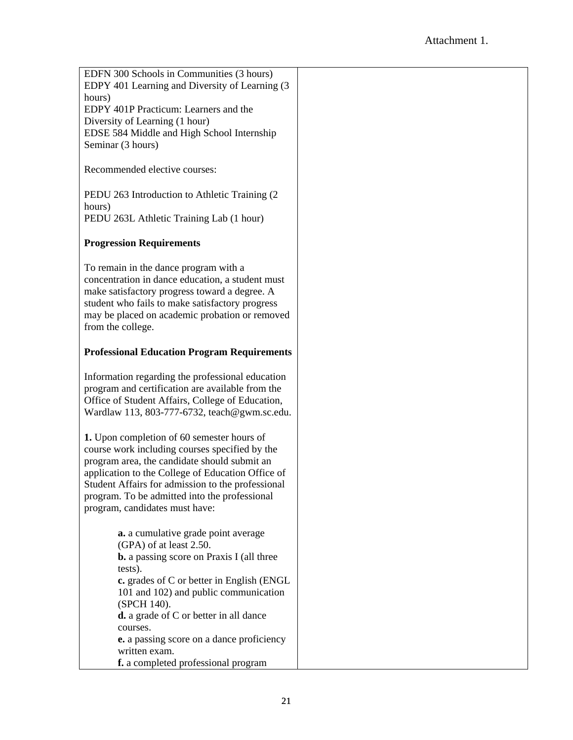| EDFN 300 Schools in Communities (3 hours)                                                              |  |
|--------------------------------------------------------------------------------------------------------|--|
| EDPY 401 Learning and Diversity of Learning (3)                                                        |  |
| hours)                                                                                                 |  |
| EDPY 401P Practicum: Learners and the                                                                  |  |
| Diversity of Learning (1 hour)                                                                         |  |
| EDSE 584 Middle and High School Internship                                                             |  |
| Seminar (3 hours)                                                                                      |  |
|                                                                                                        |  |
| Recommended elective courses:                                                                          |  |
|                                                                                                        |  |
| PEDU 263 Introduction to Athletic Training (2)                                                         |  |
| hours)                                                                                                 |  |
| PEDU 263L Athletic Training Lab (1 hour)                                                               |  |
|                                                                                                        |  |
| <b>Progression Requirements</b>                                                                        |  |
|                                                                                                        |  |
| To remain in the dance program with a                                                                  |  |
| concentration in dance education, a student must                                                       |  |
| make satisfactory progress toward a degree. A                                                          |  |
| student who fails to make satisfactory progress                                                        |  |
| may be placed on academic probation or removed                                                         |  |
| from the college.                                                                                      |  |
|                                                                                                        |  |
| <b>Professional Education Program Requirements</b>                                                     |  |
|                                                                                                        |  |
| Information regarding the professional education                                                       |  |
| program and certification are available from the                                                       |  |
| Office of Student Affairs, College of Education,                                                       |  |
| Wardlaw 113, 803-777-6732, teach@gwm.sc.edu.                                                           |  |
|                                                                                                        |  |
| 1. Upon completion of 60 semester hours of                                                             |  |
| course work including courses specified by the                                                         |  |
| program area, the candidate should submit an                                                           |  |
| application to the College of Education Office of<br>Student Affairs for admission to the professional |  |
| program. To be admitted into the professional                                                          |  |
| program, candidates must have:                                                                         |  |
|                                                                                                        |  |
| a. a cumulative grade point average                                                                    |  |
| (GPA) of at least 2.50.                                                                                |  |
| <b>b.</b> a passing score on Praxis I (all three                                                       |  |
| tests).                                                                                                |  |
| c. grades of C or better in English (ENGL                                                              |  |
| 101 and 102) and public communication                                                                  |  |
| (SPCH 140).                                                                                            |  |
| <b>d.</b> a grade of C or better in all dance                                                          |  |
| courses.                                                                                               |  |
| e. a passing score on a dance proficiency                                                              |  |
| written exam.                                                                                          |  |
| f. a completed professional program                                                                    |  |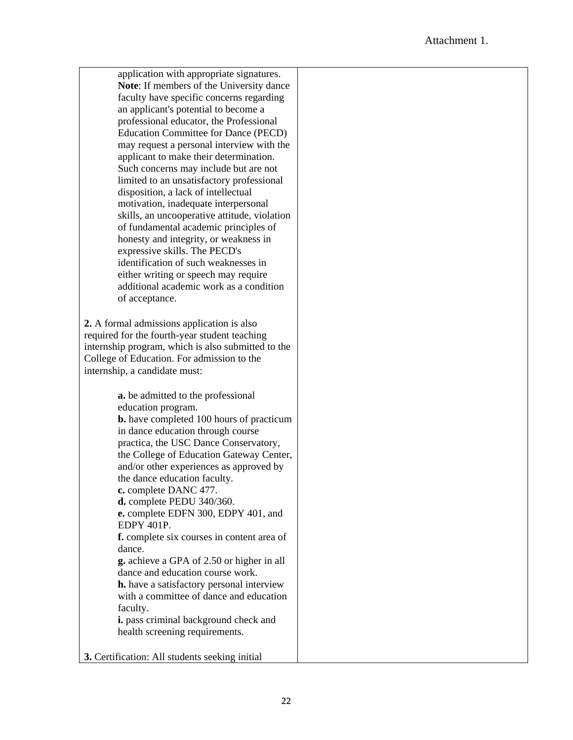| application with appropriate signatures.           |  |
|----------------------------------------------------|--|
| Note: If members of the University dance           |  |
| faculty have specific concerns regarding           |  |
| an applicant's potential to become a               |  |
| professional educator, the Professional            |  |
| <b>Education Committee for Dance (PECD)</b>        |  |
| may request a personal interview with the          |  |
| applicant to make their determination.             |  |
| Such concerns may include but are not              |  |
| limited to an unsatisfactory professional          |  |
| disposition, a lack of intellectual                |  |
| motivation, inadequate interpersonal               |  |
| skills, an uncooperative attitude, violation       |  |
| of fundamental academic principles of              |  |
| honesty and integrity, or weakness in              |  |
| expressive skills. The PECD's                      |  |
| identification of such weaknesses in               |  |
| either writing or speech may require               |  |
| additional academic work as a condition            |  |
| of acceptance.                                     |  |
|                                                    |  |
| 2. A formal admissions application is also         |  |
| required for the fourth-year student teaching      |  |
| internship program, which is also submitted to the |  |
| College of Education. For admission to the         |  |
| internship, a candidate must:                      |  |
|                                                    |  |
| <b>a.</b> be admitted to the professional          |  |
| education program.                                 |  |
| <b>b.</b> have completed 100 hours of practicum    |  |
| in dance education through course                  |  |
| practica, the USC Dance Conservatory,              |  |
| the College of Education Gateway Center,           |  |
| and/or other experiences as approved by            |  |
| the dance education faculty.                       |  |
| c. complete DANC 477.                              |  |
| d. complete PEDU 340/360.                          |  |
| e. complete EDFN 300, EDPY 401, and                |  |
| EDPY 401P.                                         |  |
| f. complete six courses in content area of         |  |
| dance.                                             |  |
| g. achieve a GPA of 2.50 or higher in all          |  |
| dance and education course work.                   |  |
| <b>h.</b> have a satisfactory personal interview   |  |
| with a committee of dance and education            |  |
| faculty.                                           |  |
| i. pass criminal background check and              |  |
| health screening requirements.                     |  |
|                                                    |  |
| 3. Certification: All students seeking initial     |  |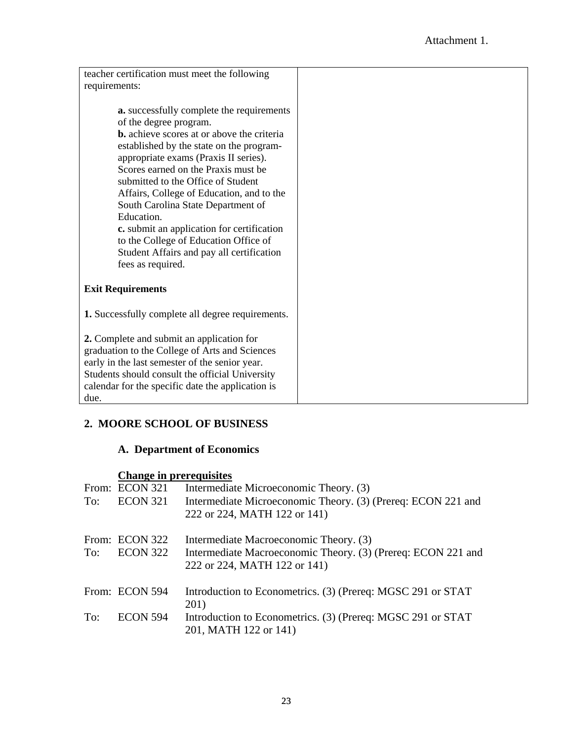| teacher certification must meet the following            |  |
|----------------------------------------------------------|--|
| requirements:                                            |  |
|                                                          |  |
| a. successfully complete the requirements                |  |
| of the degree program.                                   |  |
| <b>b.</b> achieve scores at or above the criteria        |  |
| established by the state on the program-                 |  |
| appropriate exams (Praxis II series).                    |  |
| Scores earned on the Praxis must be                      |  |
| submitted to the Office of Student                       |  |
| Affairs, College of Education, and to the                |  |
| South Carolina State Department of                       |  |
| Education.                                               |  |
| c. submit an application for certification               |  |
| to the College of Education Office of                    |  |
| Student Affairs and pay all certification                |  |
| fees as required.                                        |  |
|                                                          |  |
| <b>Exit Requirements</b>                                 |  |
|                                                          |  |
| <b>1.</b> Successfully complete all degree requirements. |  |
|                                                          |  |
| 2. Complete and submit an application for                |  |
| graduation to the College of Arts and Sciences           |  |
| early in the last semester of the senior year.           |  |
| Students should consult the official University          |  |
| calendar for the specific date the application is        |  |
| due.                                                     |  |

# **2. MOORE SCHOOL OF BUSINESS**

# **A. Department of Economics**

# **Change in prerequisites**

| To: | From: ECON 321<br><b>ECON 321</b> | Intermediate Microeconomic Theory. (3)<br>Intermediate Microeconomic Theory. (3) (Prereq: ECON 221 and<br>222 or 224, MATH 122 or 141) |
|-----|-----------------------------------|----------------------------------------------------------------------------------------------------------------------------------------|
| To: | From: ECON 322<br>ECON 322        | Intermediate Macroeconomic Theory. (3)<br>Intermediate Macroeconomic Theory. (3) (Prereq: ECON 221 and<br>222 or 224, MATH 122 or 141) |
|     | From: ECON 594                    | Introduction to Econometrics. (3) (Prereq: MGSC 291 or STAT<br>201)                                                                    |
| To: | <b>ECON 594</b>                   | Introduction to Econometrics. (3) (Prereq: MGSC 291 or STAT<br>201, MATH 122 or 141)                                                   |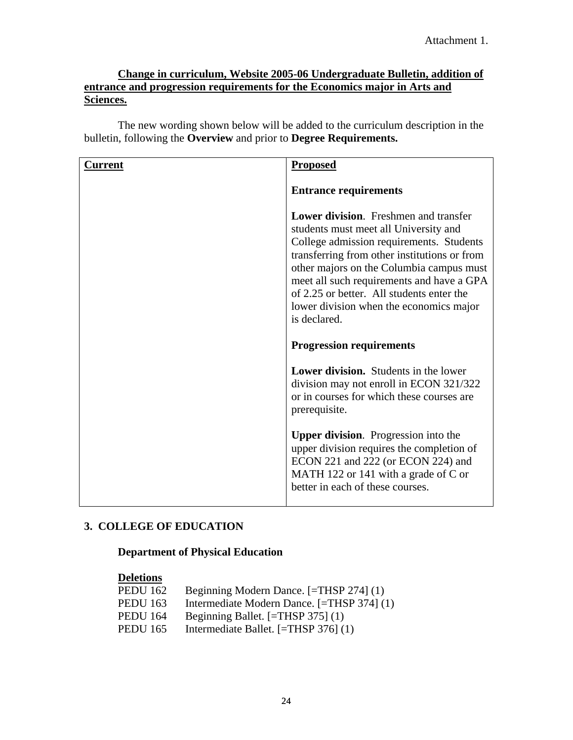# **Change in curriculum, Website 2005-06 Undergraduate Bulletin, addition of entrance and progression requirements for the Economics major in Arts and Sciences.**

The new wording shown below will be added to the curriculum description in the bulletin, following the **Overview** and prior to **Degree Requirements.** 

| Current | <b>Proposed</b>                                                                                                                                                                                                                                                                                                                                                                    |
|---------|------------------------------------------------------------------------------------------------------------------------------------------------------------------------------------------------------------------------------------------------------------------------------------------------------------------------------------------------------------------------------------|
|         | <b>Entrance requirements</b>                                                                                                                                                                                                                                                                                                                                                       |
|         | <b>Lower division.</b> Freshmen and transfer<br>students must meet all University and<br>College admission requirements. Students<br>transferring from other institutions or from<br>other majors on the Columbia campus must<br>meet all such requirements and have a GPA<br>of 2.25 or better. All students enter the<br>lower division when the economics major<br>is declared. |
|         | <b>Progression requirements</b>                                                                                                                                                                                                                                                                                                                                                    |
|         | <b>Lower division.</b> Students in the lower<br>division may not enroll in ECON 321/322<br>or in courses for which these courses are<br>prerequisite.                                                                                                                                                                                                                              |
|         | <b>Upper division.</b> Progression into the<br>upper division requires the completion of<br>ECON 221 and 222 (or ECON 224) and<br>MATH 122 or 141 with a grade of C or<br>better in each of these courses.                                                                                                                                                                         |

# **3. COLLEGE OF EDUCATION**

# **Department of Physical Education**

## **Deletions**

| <b>PEDU 162</b> | Beginning Modern Dance. [=THSP 274] (1)    |
|-----------------|--------------------------------------------|
| <b>PEDU 163</b> | Intermediate Modern Dance. [=THSP 374] (1) |
| <b>PEDU 164</b> | Beginning Ballet. [=THSP 375] (1)          |
| PEDU 165        | Intermediate Ballet. $[=THSP 376] (1)$     |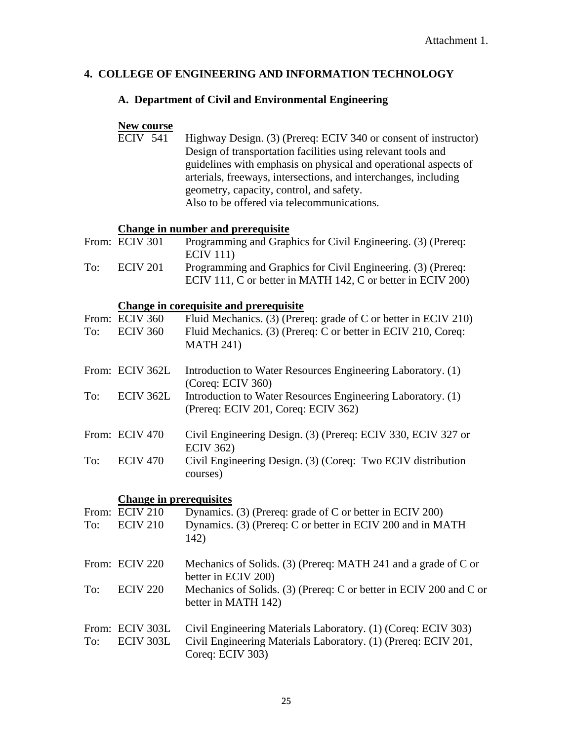# **4. COLLEGE OF ENGINEERING AND INFORMATION TECHNOLOGY**

# **A. Department of Civil and Environmental Engineering**

# **New course**

| $ECIV$ 541 | Highway Design. (3) (Prereq: ECIV 340 or consent of instructor) |  |
|------------|-----------------------------------------------------------------|--|
|            | Design of transportation facilities using relevant tools and    |  |
|            | guidelines with emphasis on physical and operational aspects of |  |
|            | arterials, freeways, intersections, and interchanges, including |  |
|            | geometry, capacity, control, and safety.                        |  |
|            | Also to be offered via telecommunications.                      |  |

# **Change in number and prerequisite**

|     | From: ECIV 301 | Programming and Graphics for Civil Engineering. (3) (Prereq: |
|-----|----------------|--------------------------------------------------------------|
|     |                | ECIV 111)                                                    |
| To: | ECIV 201       | Programming and Graphics for Civil Engineering. (3) (Prereq: |
|     |                | ECIV 111, C or better in MATH 142, C or better in ECIV 200)  |

# **Change in corequisite and prerequisite**

| To: | From: ECIV 360<br><b>ECIV 360</b> | Fluid Mechanics. (3) (Prereq: grade of C or better in ECIV 210)<br>Fluid Mechanics. (3) (Prereq: C or better in ECIV 210, Coreq:<br><b>MATH 241)</b> |
|-----|-----------------------------------|------------------------------------------------------------------------------------------------------------------------------------------------------|
|     | From: ECIV 362L                   | Introduction to Water Resources Engineering Laboratory. (1)<br>(Coreq: ECIV 360)                                                                     |
| To: | ECIV 362L                         | Introduction to Water Resources Engineering Laboratory. (1)<br>(Prereq: ECIV 201, Coreq: ECIV 362)                                                   |
|     | From: ECIV 470                    | Civil Engineering Design. (3) (Prereq: ECIV 330, ECIV 327 or<br><b>ECIV 362)</b>                                                                     |
| To: | <b>ECIV 470</b>                   | Civil Engineering Design. (3) (Coreq: Two ECIV distribution<br>courses)                                                                              |
|     | <b>Change in prerequisites</b>    |                                                                                                                                                      |
|     | From: ECIV 210                    | Dynamics. (3) (Prereq: grade of C or better in ECIV 200)                                                                                             |
| To: | <b>ECIV 210</b>                   | Dynamics. (3) (Prereq: C or better in ECIV 200 and in MATH<br>142)                                                                                   |
|     | From: ECIV 220                    | Mechanics of Solids. (3) (Prereq: MATH 241 and a grade of C or<br>better in ECIV 200)                                                                |
| To: | <b>ECIV 220</b>                   | Mechanics of Solids. (3) (Prereq: C or better in ECIV 200 and C or<br>better in MATH 142)                                                            |
| To: | From: ECIV 303L<br>ECIV 303L      | Civil Engineering Materials Laboratory. (1) (Coreq: ECIV 303)<br>Civil Engineering Materials Laboratory. (1) (Prereq: ECIV 201,                      |
|     |                                   | Coreq: ECIV 303)                                                                                                                                     |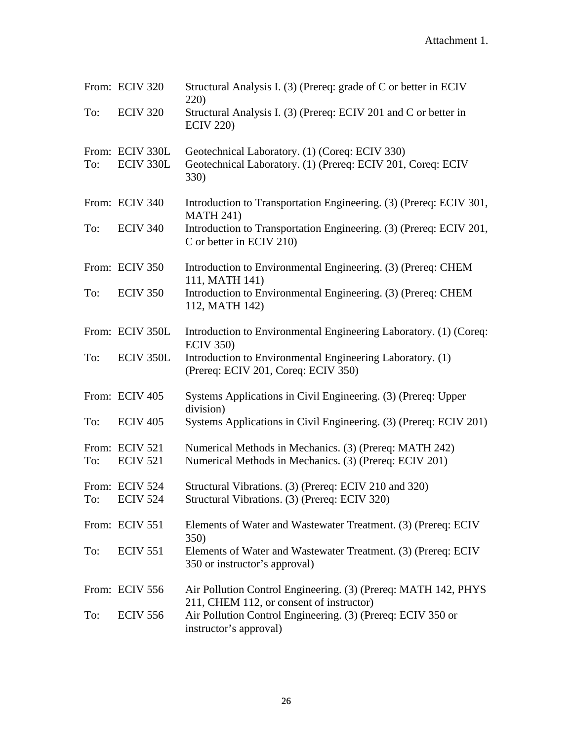|     | From: ECIV 320                    | Structural Analysis I. (3) (Prereq: grade of C or better in ECIV<br>220)                                              |
|-----|-----------------------------------|-----------------------------------------------------------------------------------------------------------------------|
| To: | <b>ECIV 320</b>                   | Structural Analysis I. (3) (Prereq: ECIV 201 and C or better in<br><b>ECIV 220)</b>                                   |
| To: | From: ECIV 330L<br>ECIV 330L      | Geotechnical Laboratory. (1) (Coreq: ECIV 330)<br>Geotechnical Laboratory. (1) (Prereq: ECIV 201, Coreq: ECIV<br>330) |
|     | From: ECIV 340                    | Introduction to Transportation Engineering. (3) (Prereq: ECIV 301,<br><b>MATH 241)</b>                                |
| To: | <b>ECIV 340</b>                   | Introduction to Transportation Engineering. (3) (Prereq: ECIV 201,<br>C or better in ECIV 210)                        |
|     | From: ECIV 350                    | Introduction to Environmental Engineering. (3) (Prereq: CHEM<br>111, MATH 141)                                        |
| To: | <b>ECIV 350</b>                   | Introduction to Environmental Engineering. (3) (Prereq: CHEM<br>112, MATH 142)                                        |
|     | From: ECIV 350L                   | Introduction to Environmental Engineering Laboratory. (1) (Coreq:<br><b>ECIV 350)</b>                                 |
| To: | ECIV 350L                         | Introduction to Environmental Engineering Laboratory. (1)<br>(Prereq: ECIV 201, Coreq: ECIV 350)                      |
|     | From: ECIV 405                    | Systems Applications in Civil Engineering. (3) (Prereq: Upper<br>division)                                            |
| To: | <b>ECIV 405</b>                   | Systems Applications in Civil Engineering. (3) (Prereq: ECIV 201)                                                     |
| To: | From: ECIV 521<br><b>ECIV 521</b> | Numerical Methods in Mechanics. (3) (Prereq: MATH 242)<br>Numerical Methods in Mechanics. (3) (Prereq: ECIV 201)      |
|     | From: ECIV 524<br>To: ECIV 524    | Structural Vibrations. (3) (Prereq: ECIV 210 and 320)<br>Structural Vibrations. (3) (Prereq: ECIV 320)                |
|     | From: ECIV 551                    | Elements of Water and Wastewater Treatment. (3) (Prereq: ECIV<br><b>350</b> )                                         |
| To: | <b>ECIV 551</b>                   | Elements of Water and Wastewater Treatment. (3) (Prereq: ECIV<br>350 or instructor's approval)                        |
|     | From: ECIV 556                    | Air Pollution Control Engineering. (3) (Prereq: MATH 142, PHYS<br>211, CHEM 112, or consent of instructor)            |
| To: | <b>ECIV 556</b>                   | Air Pollution Control Engineering. (3) (Prereq: ECIV 350 or<br>instructor's approval)                                 |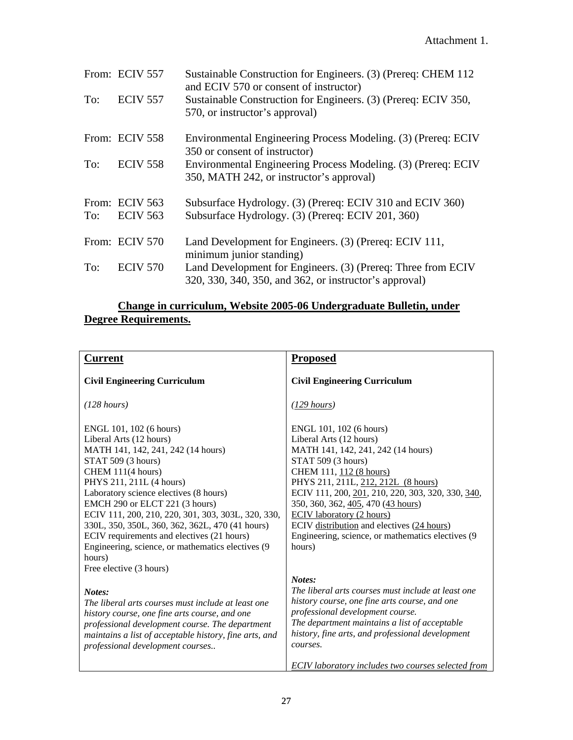|     | From: ECIV 557  | Sustainable Construction for Engineers. (3) (Prereq: CHEM 112<br>and ECIV 570 or consent of instructor)                |
|-----|-----------------|------------------------------------------------------------------------------------------------------------------------|
| To: | <b>ECIV 557</b> | Sustainable Construction for Engineers. (3) (Prereq: ECIV 350,<br>570, or instructor's approval)                       |
|     | From: ECIV 558  | Environmental Engineering Process Modeling. (3) (Prereq: ECIV<br>350 or consent of instructor)                         |
| To: | <b>ECIV 558</b> | Environmental Engineering Process Modeling. (3) (Prereq: ECIV<br>350, MATH 242, or instructor's approval)              |
|     | From: ECIV 563  | Subsurface Hydrology. (3) (Prereq: ECIV 310 and ECIV 360)                                                              |
| To: | <b>ECIV 563</b> | Subsurface Hydrology. (3) (Prereq: ECIV 201, 360)                                                                      |
|     | From: ECIV 570  | Land Development for Engineers. (3) (Prereq: ECIV 111,<br>minimum junior standing)                                     |
| To: | <b>ECIV 570</b> | Land Development for Engineers. (3) (Prereq: Three from ECIV<br>320, 330, 340, 350, and 362, or instructor's approval) |

#### **Change in curriculum, Website 2005-06 Undergraduate Bulletin, under Degree Requirements.**

| <b>Current</b>                                                                                                                                                                                                                                                                                                                                                                                                                                                     | <b>Proposed</b>                                                                                                                                                                                                                                                                                                                                                                                                               |
|--------------------------------------------------------------------------------------------------------------------------------------------------------------------------------------------------------------------------------------------------------------------------------------------------------------------------------------------------------------------------------------------------------------------------------------------------------------------|-------------------------------------------------------------------------------------------------------------------------------------------------------------------------------------------------------------------------------------------------------------------------------------------------------------------------------------------------------------------------------------------------------------------------------|
| <b>Civil Engineering Curriculum</b>                                                                                                                                                                                                                                                                                                                                                                                                                                | <b>Civil Engineering Curriculum</b>                                                                                                                                                                                                                                                                                                                                                                                           |
| (128 hours)                                                                                                                                                                                                                                                                                                                                                                                                                                                        | $(129 \text{ hours})$                                                                                                                                                                                                                                                                                                                                                                                                         |
| ENGL 101, 102 (6 hours)<br>Liberal Arts (12 hours)<br>MATH 141, 142, 241, 242 (14 hours)<br>STAT 509 (3 hours)<br>CHEM 111(4 hours)<br>PHYS 211, 211L (4 hours)<br>Laboratory science electives (8 hours)<br>EMCH 290 or ELCT 221 (3 hours)<br>ECIV 111, 200, 210, 220, 301, 303, 303L, 320, 330,<br>330L, 350, 350L, 360, 362, 362L, 470 (41 hours)<br>ECIV requirements and electives (21 hours)<br>Engineering, science, or mathematics electives (9)<br>hours) | ENGL 101, 102 (6 hours)<br>Liberal Arts (12 hours)<br>MATH 141, 142, 241, 242 (14 hours)<br>STAT 509 (3 hours)<br>CHEM 111, 112 (8 hours)<br>PHYS 211, 211L, 212, 212L (8 hours)<br>ECIV 111, 200, 201, 210, 220, 303, 320, 330, 340,<br>350, 360, 362, 405, 470 (43 hours)<br><b>ECIV</b> laboratory (2 hours)<br>ECIV distribution and electives (24 hours)<br>Engineering, science, or mathematics electives (9)<br>hours) |
| Free elective (3 hours)                                                                                                                                                                                                                                                                                                                                                                                                                                            |                                                                                                                                                                                                                                                                                                                                                                                                                               |
| Notes:<br>The liberal arts courses must include at least one<br>history course, one fine arts course, and one<br>professional development course. The department<br>maintains a list of acceptable history, fine arts, and<br>professional development courses                                                                                                                                                                                                     | Notes:<br>The liberal arts courses must include at least one<br>history course, one fine arts course, and one<br>professional development course.<br>The department maintains a list of acceptable<br>history, fine arts, and professional development<br>courses.                                                                                                                                                            |
|                                                                                                                                                                                                                                                                                                                                                                                                                                                                    | <b>ECIV</b> laboratory includes two courses selected from                                                                                                                                                                                                                                                                                                                                                                     |